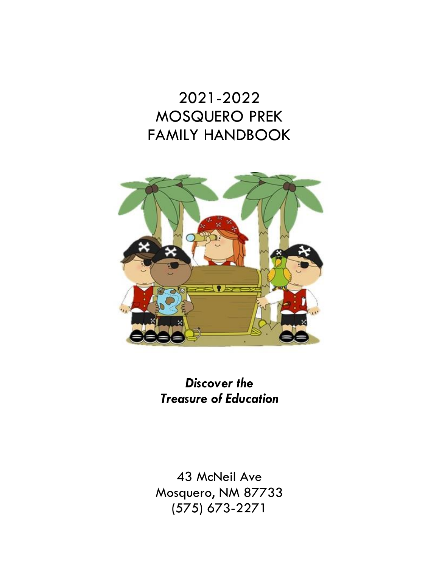# 2021-2022 MOSQUERO PREK FAMILY HANDBOOK



*Discover the Treasure of Education*

43 McNeil Ave Mosquero, NM 87733 (575) 673-2271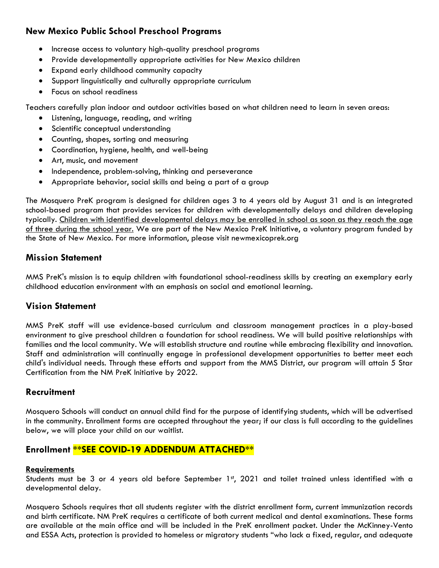## **New Mexico Public School Preschool Programs**

- Increase access to voluntary high-quality preschool programs
- Provide developmentally appropriate activities for New Mexico children
- Expand early childhood community capacity
- Support linguistically and culturally appropriate curriculum
- Focus on school readiness

Teachers carefully plan indoor and outdoor activities based on what children need to learn in seven areas:

- Listening, language, reading, and writing
- Scientific conceptual understanding
- Counting, shapes, sorting and measuring
- Coordination, hygiene, health, and well-being
- Art, music, and movement
- Independence, problem-solving, thinking and perseverance
- Appropriate behavior, social skills and being a part of a group

The Mosquero PreK program is designed for children ages 3 to 4 years old by August 31 and is an integrated school-based program that provides services for children with developmentally delays and children developing typically. Children with identified developmental delays may be enrolled in school as soon as they reach the age of three during the school year. We are part of the New Mexico PreK Initiative, a voluntary program funded by the State of New Mexico. For more information, please visit newmexicoprek.org

## **Mission Statement**

MMS PreK's mission is to equip children with foundational school-readiness skills by creating an exemplary early childhood education environment with an emphasis on social and emotional learning.

## **Vision Statement**

MMS PreK staff will use evidence-based curriculum and classroom management practices in a play-based environment to give preschool children a foundation for school readiness. We will build positive relationships with families and the local community. We will establish structure and routine while embracing flexibility and innovation. Staff and administration will continually engage in professional development opportunities to better meet each child's individual needs. Through these efforts and support from the MMS District, our program will attain 5 Star Certification from the NM PreK Initiative by 2022.

## **Recruitment**

Mosquero Schools will conduct an annual child find for the purpose of identifying students, which will be advertised in the community. Enrollment forms are accepted throughout the year; if our class is full according to the guidelines below, we will place your child on our waitlist.

## **Enrollment \*\*SEE COVID-19 ADDENDUM ATTACHED\*\***

#### **Requirements**

Students must be 3 or 4 years old before September  $1<sup>st</sup>$ , 2021 and toilet trained unless identified with a developmental delay.

Mosquero Schools requires that all students register with the district enrollment form, current immunization records and birth certificate. NM PreK requires a certificate of both current medical and dental examinations. These forms are available at the main office and will be included in the PreK enrollment packet. Under the McKinney-Vento and ESSA Acts, protection is provided to homeless or migratory students "who lack a fixed, regular, and adequate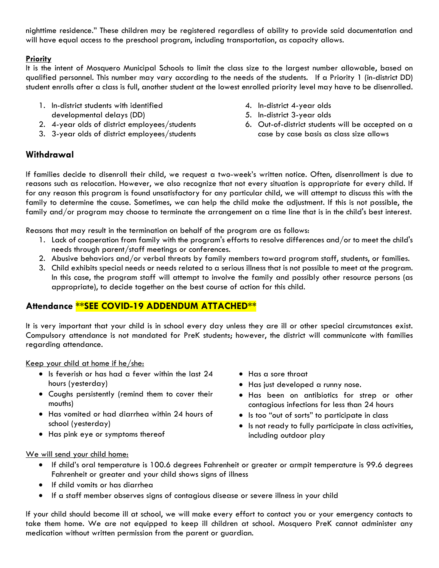nighttime residence." These children may be registered regardless of ability to provide said documentation and will have equal access to the preschool program, including transportation, as capacity allows.

#### **Priority**

It is the intent of Mosquero Municipal Schools to limit the class size to the largest number allowable, based on qualified personnel. This number may vary according to the needs of the students. If a Priority 1 (in-district DD) student enrolls after a class is full, another student at the lowest enrolled priority level may have to be disenrolled.

- 1. In-district students with identified developmental delays (DD)
- 2. 4-year olds of district employees/students
- 3. 3-year olds of district employees/students
- 4. In-district 4-year olds
- 5. In-district 3-year olds
- 6. Out-of-district students will be accepted on a case by case basis as class size allows

## **Withdrawal**

If families decide to disenroll their child, we request a two-week's written notice. Often, disenrollment is due to reasons such as relocation. However, we also recognize that not every situation is appropriate for every child. If for any reason this program is found unsatisfactory for any particular child, we will attempt to discuss this with the family to determine the cause. Sometimes, we can help the child make the adjustment. If this is not possible, the family and/or program may choose to terminate the arrangement on a time line that is in the child's best interest.

Reasons that may result in the termination on behalf of the program are as follows:

- 1. Lack of cooperation from family with the program's efforts to resolve differences and/or to meet the child's needs through parent/staff meetings or conferences.
- 2. Abusive behaviors and/or verbal threats by family members toward program staff, students, or families.
- 3. Child exhibits special needs or needs related to a serious illness that is not possible to meet at the program. In this case, the program staff will attempt to involve the family and possibly other resource persons (as appropriate), to decide together on the best course of action for this child.

## **Attendance \*\*SEE COVID-19 ADDENDUM ATTACHED\*\***

It is very important that your child is in school every day unless they are ill or other special circumstances exist. Compulsory attendance is not mandated for PreK students; however, the district will communicate with families regarding attendance.

Keep your child at home if he/she:

- Is feverish or has had a fever within the last 24 hours (yesterday)
- Coughs persistently (remind them to cover their mouths)
- Has vomited or had diarrhea within 24 hours of school (yesterday)
- Has pink eye or symptoms thereof
- Has a sore throat
- Has just developed a runny nose.
- Has been on antibiotics for strep or other contagious infections for less than 24 hours
- Is too "out of sorts" to participate in class
- Is not ready to fully participate in class activities, including outdoor play

#### We will send your child home:

- If child's oral temperature is 100.6 degrees Fahrenheit or greater or armpit temperature is 99.6 degrees Fahrenheit or greater and your child shows signs of illness
- If child vomits or has diarrhea
- If a staff member observes signs of contagious disease or severe illness in your child

If your child should become ill at school, we will make every effort to contact you or your emergency contacts to take them home. We are not equipped to keep ill children at school. Mosquero PreK cannot administer any medication without written permission from the parent or guardian.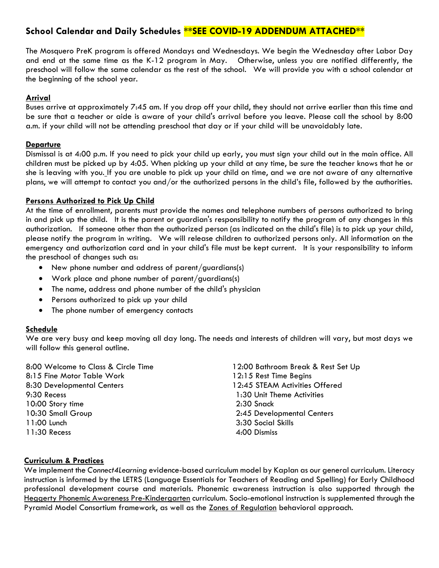## **School Calendar and Daily Schedules \*\*SEE COVID-19 ADDENDUM ATTACHED\*\***

The Mosquero PreK program is offered Mondays and Wednesdays. We begin the Wednesday after Labor Day and end at the same time as the K-12 program in May. Otherwise, unless you are notified differently, the preschool will follow the same calendar as the rest of the school. We will provide you with a school calendar at the beginning of the school year.

#### **Arrival**

Buses arrive at approximately 7:45 am. If you drop off your child, they should not arrive earlier than this time and be sure that a teacher or aide is aware of your child's arrival before you leave. Please call the school by 8:00 a.m. if your child will not be attending preschool that day or if your child will be unavoidably late.

#### **Departure**

Dismissal is at 4:00 p.m. If you need to pick your child up early, you must sign your child out in the main office. All children must be picked up by 4:05. When picking up your child at any time, be sure the teacher knows that he or she is leaving with you. If you are unable to pick up your child on time, and we are not aware of any alternative plans, we will attempt to contact you and/or the authorized persons in the child's file, followed by the authorities.

#### **Persons Authorized to Pick Up Child**

At the time of enrollment, parents must provide the names and telephone numbers of persons authorized to bring in and pick up the child. It is the parent or guardian's responsibility to notify the program of any changes in this authorization. If someone other than the authorized person (as indicated on the child's file) is to pick up your child, please notify the program in writing. We will release children to authorized persons only. All information on the emergency and authorization card and in your child's file must be kept current. It is your responsibility to inform the preschool of changes such as:

- New phone number and address of parent/guardians(s)
- Work place and phone number of parent/guardians(s)
- The name, address and phone number of the child's physician
- Persons authorized to pick up your child
- The phone number of emergency contacts

#### **Schedule**

We are very busy and keep moving all day long. The needs and interests of children will vary, but most days we will follow this general outline.

8:00 Welcome to Class & Circle Time 8:15 Fine Motor Table Work 8:30 Developmental Centers 9:30 Recess 10:00 Story time 10:30 Small Group 11:00 Lunch 11:30 Recess

12:00 Bathroom Break & Rest Set Up 12:15 Rest Time Begins 12:45 STEAM Activities Offered 1:30 Unit Theme Activities 2:30 Snack 2:45 Developmental Centers 3:30 Social Skills 4:00 Dismiss

#### **Curriculum & Practices**

We implement the *Connect4Learning* evidence-based curriculum model by Kaplan as our general curriculum. Literacy instruction is informed by the LETRS (Language Essentials for Teachers of Reading and Spelling) for Early Childhood professional development course and materials. Phonemic awareness instruction is also supported through the Heggerty Phonemic Awareness Pre-Kindergarten curriculum. Socio-emotional instruction is supplemented through the Pyramid Model Consortium framework, as well as the **Zones of Regulation** behavioral approach.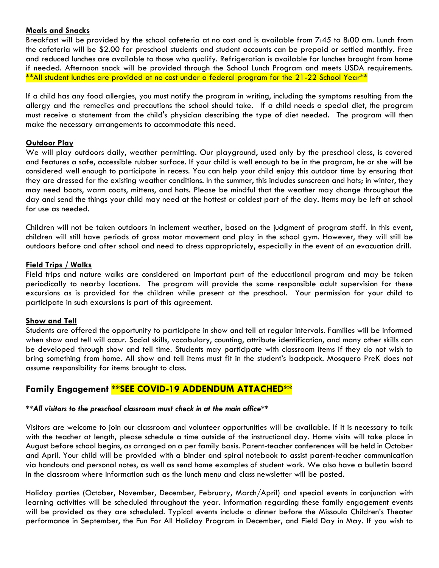#### **Meals and Snacks**

Breakfast will be provided by the school cafeteria at no cost and is available from 7:45 to 8:00 am. Lunch from the cafeteria will be \$2.00 for preschool students and student accounts can be prepaid or settled monthly. Free and reduced lunches are available to those who qualify. Refrigeration is available for lunches brought from home if needed. Afternoon snack will be provided through the School Lunch Program and meets USDA requirements. \*\*All student lunches are provided at no cost under a federal program for the 21-22 School Year\*\*

If a child has any food allergies, you must notify the program in writing, including the symptoms resulting from the allergy and the remedies and precautions the school should take. If a child needs a special diet, the program must receive a statement from the child's physician describing the type of diet needed. The program will then make the necessary arrangements to accommodate this need.

#### **Outdoor Play**

We will play outdoors daily, weather permitting. Our playground, used only by the preschool class, is covered and features a safe, accessible rubber surface. If your child is well enough to be in the program, he or she will be considered well enough to participate in recess. You can help your child enjoy this outdoor time by ensuring that they are dressed for the existing weather conditions. In the summer, this includes sunscreen and hats; in winter, they may need boots, warm coats, mittens, and hats. Please be mindful that the weather may change throughout the day and send the things your child may need at the hottest or coldest part of the day. Items may be left at school for use as needed.

Children will not be taken outdoors in inclement weather, based on the judgment of program staff. In this event, children will still have periods of gross motor movement and play in the school gym. However, they will still be outdoors before and after school and need to dress appropriately, especially in the event of an evacuation drill.

#### **Field Trips / Walks**

Field trips and nature walks are considered an important part of the educational program and may be taken periodically to nearby locations. The program will provide the same responsible adult supervision for these excursions as is provided for the children while present at the preschool. Your permission for your child to participate in such excursions is part of this agreement*.* 

#### **Show and Tell**

Students are offered the opportunity to participate in show and tell at regular intervals. Families will be informed when show and tell will occur. Social skills, vocabulary, counting, attribute identification, and many other skills can be developed through show and tell time. Students may participate with classroom items if they do not wish to bring something from home. All show and tell items must fit in the student's backpack. Mosquero PreK does not assume responsibility for items brought to class.

## **Family Engagement \*\*SEE COVID-19 ADDENDUM ATTACHED\*\***

#### *\*\*All visitors to the preschool classroom must check in at the main office\*\**

Visitors are welcome to join our classroom and volunteer opportunities will be available. If it is necessary to talk with the teacher at length, please schedule a time outside of the instructional day. Home visits will take place in August before school begins, as arranged on a per family basis. Parent-teacher conferences will be held in October and April. Your child will be provided with a binder and spiral notebook to assist parent-teacher communication via handouts and personal notes, as well as send home examples of student work. We also have a bulletin board in the classroom where information such as the lunch menu and class newsletter will be posted.

Holiday parties (October, November, December, February, March/April) and special events in conjunction with learning activities will be scheduled throughout the year. Information regarding these family engagement events will be provided as they are scheduled. Typical events include a dinner before the Missoula Children's Theater performance in September, the Fun For All Holiday Program in December, and Field Day in May. If you wish to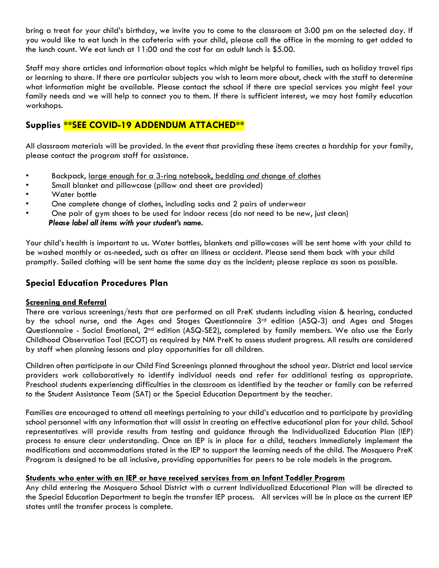bring a treat for your child's birthday, we invite you to come to the classroom at 3:00 pm on the selected day. If you would like to eat lunch in the cafeteria with your child, please call the office in the morning to get added to the lunch count. We eat lunch at 11:00 and the cost for an adult lunch is \$5.00.

Staff may share articles and information about topics which might be helpful to families, such as holiday travel tips or learning to share. If there are particular subjects you wish to learn more about, check with the staff to determine what information might be available. Please contact the school if there are special services you might feel your family needs and we will help to connect you to them. If there is sufficient interest, we may host family education workshops.

## **Supplies \*\*SEE COVID-19 ADDENDUM ATTACHED\*\***

All classroom materials will be provided. In the event that providing these items creates a hardship for your family, please contact the program staff for assistance.

- Backpack, large enough for a 3-ring notebook, bedding *and* change of clothes
- Small blanket and pillowcase (pillow and sheet are provided)
- Water bottle
- One complete change of clothes, including socks and 2 pairs of underwear
- One pair of gym shoes to be used for indoor recess (do not need to be new, just clean)  *Please label all items with your student's name.*

Your child's health is important to us. Water bottles, blankets and pillowcases will be sent home with your child to be washed monthly or as-needed, such as after an illness or accident. Please send them back with your child promptly. Soiled clothing will be sent home the same day as the incident; please replace as soon as possible.

## **Special Education Procedures Plan**

#### **Screening and Referral**

There are various screenings/tests that are performed on all PreK students including vision & hearing, conducted by the school nurse, and the Ages and Stages Questionnaire 3<sup>rd</sup> edition (ASQ-3) and Ages and Stages Questionnaire - Social Emotional, 2<sup>nd</sup> edition (ASQ-SE2), completed by family members. We also use the Early Childhood Observation Tool (ECOT) as required by NM PreK to assess student progress. All results are considered by staff when planning lessons and play opportunities for all children.

Children often participate in our Child Find Screenings planned throughout the school year. District and local service providers work collaboratively to identify individual needs and refer for additional testing as appropriate. Preschool students experiencing difficulties in the classroom as identified by the teacher or family can be referred to the Student Assistance Team (SAT) or the Special Education Department by the teacher.

Families are encouraged to attend all meetings pertaining to your child's education and to participate by providing school personnel with any information that will assist in creating an effective educational plan for your child. School representatives will provide results from testing and guidance through the Individualized Education Plan (IEP) process to ensure clear understanding. Once an IEP is in place for a child, teachers immediately implement the modifications and accommodations stated in the IEP to support the learning needs of the child. The Mosquero PreK Program is designed to be all inclusive, providing opportunities for peers to be role models in the program.

#### **Students who enter with an IEP or have received services from an Infant Toddler Program**

Any child entering the Mosquero School District with a current Individualized Educational Plan will be directed to the Special Education Department to begin the transfer IEP process. All services will be in place as the current IEP states until the transfer process is complete.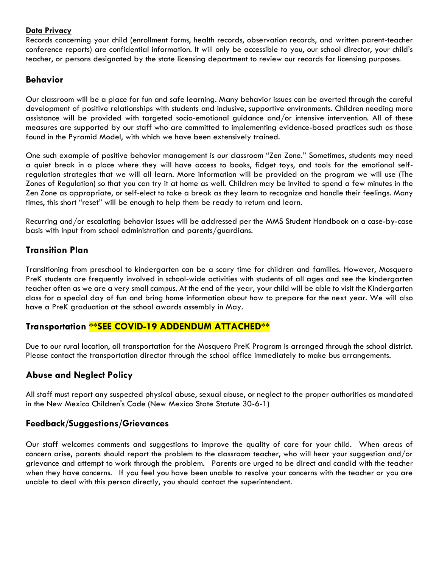#### **Data Privacy**

Records concerning your child (enrollment forms, health records, observation records, and written parent-teacher conference reports) are confidential information. It will only be accessible to you, our school director, your child's teacher, or persons designated by the state licensing department to review our records for licensing purposes.

## **Behavior**

Our classroom will be a place for fun and safe learning. Many behavior issues can be averted through the careful development of positive relationships with students and inclusive, supportive environments. Children needing more assistance will be provided with targeted socio-emotional guidance and/or intensive intervention. All of these measures are supported by our staff who are committed to implementing evidence-based practices such as those found in the Pyramid Model, with which we have been extensively trained.

One such example of positive behavior management is our classroom "Zen Zone." Sometimes, students may need a quiet break in a place where they will have access to books, fidget toys, and tools for the emotional selfregulation strategies that we will all learn. More information will be provided on the program we will use (The Zones of Regulation) so that you can try it at home as well. Children may be invited to spend a few minutes in the Zen Zone as appropriate, or self-elect to take a break as they learn to recognize and handle their feelings. Many times, this short "reset" will be enough to help them be ready to return and learn.

Recurring and/or escalating behavior issues will be addressed per the MMS Student Handbook on a case-by-case basis with input from school administration and parents/guardians.

## **Transition Plan**

Transitioning from preschool to kindergarten can be a scary time for children and families. However, Mosquero PreK students are frequently involved in school-wide activities with students of all ages and see the kindergarten teacher often as we are a very small campus. At the end of the year, your child will be able to visit the Kindergarten class for a special day of fun and bring home information about how to prepare for the next year. We will also have a PreK graduation at the school awards assembly in May.

## **Transportation \*\*SEE COVID-19 ADDENDUM ATTACHED\*\***

Due to our rural location, all transportation for the Mosquero PreK Program is arranged through the school district. Please contact the transportation director through the school office immediately to make bus arrangements.

## **Abuse and Neglect Policy**

All staff must report any suspected physical abuse, sexual abuse, or neglect to the proper authorities as mandated in the New Mexico Children's Code (New Mexico State Statute 30-6-1)

## **Feedback/Suggestions/Grievances**

Our staff welcomes comments and suggestions to improve the quality of care for your child. When areas of concern arise, parents should report the problem to the classroom teacher, who will hear your suggestion and/or grievance and attempt to work through the problem. Parents are urged to be direct and candid with the teacher when they have concerns. If you feel you have been unable to resolve your concerns with the teacher or you are unable to deal with this person directly, you should contact the superintendent.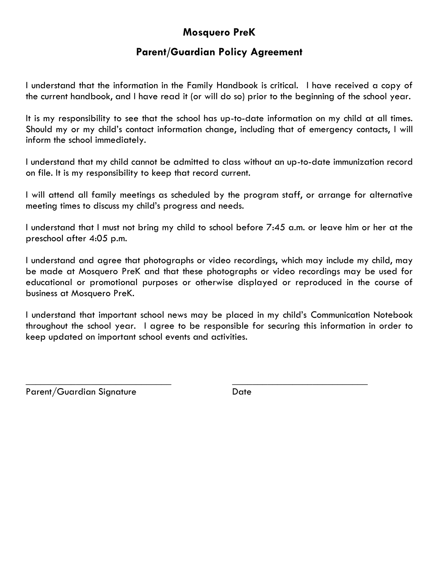# **Mosquero PreK**

## **Parent/Guardian Policy Agreement**

I understand that the information in the Family Handbook is critical. I have received a copy of the current handbook, and I have read it (or will do so) prior to the beginning of the school year.

It is my responsibility to see that the school has up-to-date information on my child at all times. Should my or my child's contact information change, including that of emergency contacts, I will inform the school immediately.

I understand that my child cannot be admitted to class without an up-to-date immunization record on file. It is my responsibility to keep that record current.

I will attend all family meetings as scheduled by the program staff, or arrange for alternative meeting times to discuss my child's progress and needs.

I understand that I must not bring my child to school before 7:45 a.m. or leave him or her at the preschool after 4:05 p.m.

I understand and agree that photographs or video recordings, which may include my child, may be made at Mosquero PreK and that these photographs or video recordings may be used for educational or promotional purposes or otherwise displayed or reproduced in the course of business at Mosquero PreK.

I understand that important school news may be placed in my child's Communication Notebook throughout the school year. I agree to be responsible for securing this information in order to keep updated on important school events and activities.

 $\overline{\phantom{a}}$  , and the contract of the contract of the contract of the contract of the contract of the contract of the contract of the contract of the contract of the contract of the contract of the contract of the contrac

Parent/Guardian Signature Date